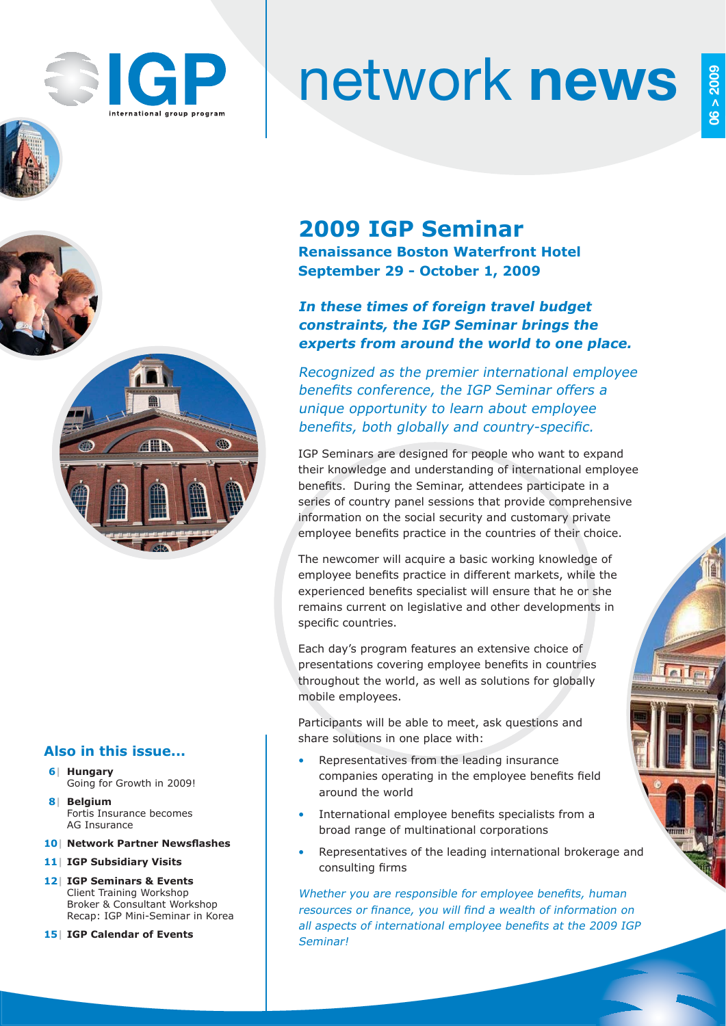

AR

619

# network **news**

# **2009 IGP Seminar**

**Renaissance Boston Waterfront Hotel September 29 - October 1, 2009**

## **In these times of foreign travel budget constraints, the IGP Seminar brings the experts from around the world to one place.**

Recognized as the premier international employee benefits conference, the IGP Seminar offers a unique opportunity to learn about employee benefits, both globally and country-specific.

IGP Seminars are designed for people who want to expand their knowledge and understanding of international employee benefits. During the Seminar, attendees participate in a series of country panel sessions that provide comprehensive information on the social security and customary private employee benefits practice in the countries of their choice.

The newcomer will acquire a basic working knowledge of employee benefits practice in different markets, while the experienced benefits specialist will ensure that he or she remains current on legislative and other developments in specific countries.

Each day's program features an extensive choice of presentations covering employee benefits in countries throughout the world, as well as solutions for globally mobile employees.

Participants will be able to meet, ask questions and share solutions in one place with:

- Representatives from the leading insurance companies operating in the employee benefits field around the world
- International employee benefits specialists from a broad range of multinational corporations
- Representatives of the leading international brokerage and consulting firms

Whether you are responsible for employee benefits, human resources or finance, you will find a wealth of information on all aspects of international employee benefits at the 2009 IGP Seminar!

## **Also in this issue...**

- **6| Hungary** Going for Growth in 2009!
- **8| Belgium** Fortis Insurance becomes AG Insurance
- **10| Network Partner Newsfl ashes**
- **11| IGP Subsidiary Visits**
- **12| IGP Seminars & Events** Client Training Workshop Broker & Consultant Workshop Recap: IGP Mini-Seminar in Korea
- **15| IGP Calendar of Events**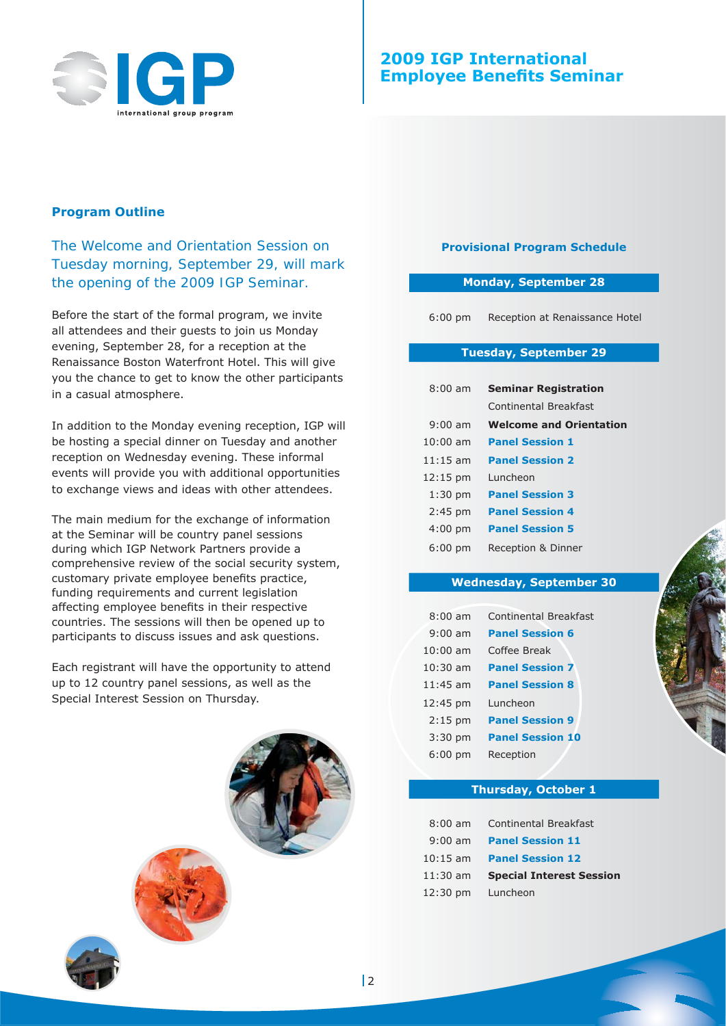

#### **Program Outline**

*The Welcome and Orientation Session on Tuesday morning, September 29, will mark the opening of the 2009 IGP Seminar.*

Before the start of the formal program, we invite all attendees and their guests to join us Monday evening, September 28, for a reception at the Renaissance Boston Waterfront Hotel. This will give you the chance to get to know the other participants in a casual atmosphere.

In addition to the Monday evening reception, IGP will be hosting a special dinner on Tuesday and another reception on Wednesday evening. These informal events will provide you with additional opportunities to exchange views and ideas with other attendees.

The main medium for the exchange of information at the Seminar will be country panel sessions during which IGP Network Partners provide a comprehensive review of the social security system, customary private employee benefits practice, funding requirements and current legislation affecting employee benefits in their respective countries. The sessions will then be opened up to participants to discuss issues and ask questions.

Each registrant will have the opportunity to attend up to 12 country panel sessions, as well as the Special Interest Session on Thursday.



#### **Provisional Program Schedule**

#### **Monday, September 28**

6:00 pm Reception at Renaissance Hotel

#### **Tuesday, September 29**

| $8:00$ am          | <b>Seminar Registration</b>    |  |  |
|--------------------|--------------------------------|--|--|
|                    | Continental Breakfast          |  |  |
| $9:00$ am          | <b>Welcome and Orientation</b> |  |  |
| $10:00$ am         | <b>Panel Session 1</b>         |  |  |
| $11:15$ am         | <b>Panel Session 2</b>         |  |  |
| $12:15 \text{ pm}$ | Luncheon                       |  |  |
| $1:30$ pm          | <b>Panel Session 3</b>         |  |  |
| $2:45$ pm          | <b>Panel Session 4</b>         |  |  |
| $4:00$ pm          | <b>Panel Session 5</b>         |  |  |
| 6:00 pm            | Reception & Dinner             |  |  |

#### **Wednesday, September 30**

| $8:00$ am         | <b>Continental Breakfast</b> |
|-------------------|------------------------------|
| $9:00$ am         | <b>Panel Session 6</b>       |
| $10:00$ am        | Coffee Break                 |
| $10:30$ am        | <b>Panel Session 7</b>       |
| $11:45$ am        | <b>Panel Session 8</b>       |
| 12:45 pm          | Luncheon                     |
| $2:15$ pm         | <b>Panel Session 9</b>       |
| $3:30$ pm         | <b>Panel Session 10</b>      |
| $6:00 \text{ pm}$ | Reception                    |

#### **Thursday, October 1**

| $8:00$ am  | <b>Continental Breakfast</b>    |
|------------|---------------------------------|
|            | 9:00 am Panel Session 11        |
|            | 10:15 am Panel Session 12       |
| $11:30$ am | <b>Special Interest Session</b> |
|            | 12:30 pm Luncheon               |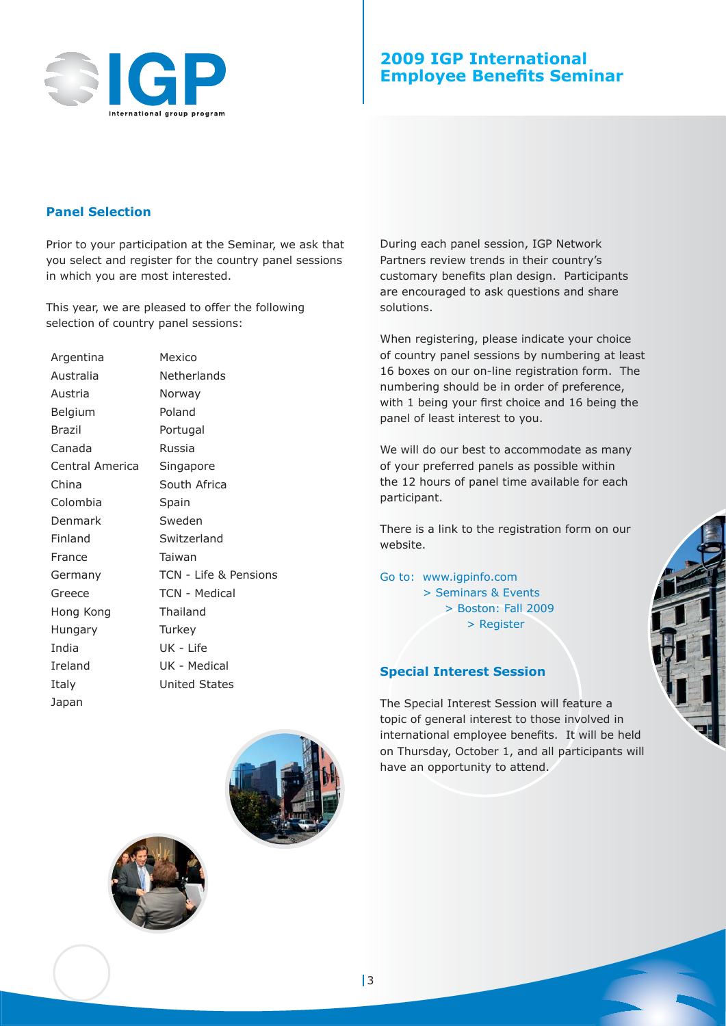

#### **Panel Selection**

Prior to your participation at the Seminar, we ask that you select and register for the country panel sessions in which you are most interested.

This year, we are pleased to offer the following selection of country panel sessions:

| Argentina       | Mexico                |
|-----------------|-----------------------|
| Australia       | Netherlands           |
| Austria         | Norway                |
| Belgium         | Poland                |
| <b>Brazil</b>   | Portugal              |
| Canada          | Russia                |
| Central America | Singapore             |
| China           | South Africa          |
| Colombia        | Spain                 |
| Denmark         | Sweden                |
| Finland         | Switzerland           |
| France          | Taiwan                |
| Germany         | TCN - Life & Pensions |
| Greece          | TCN - Medical         |
| Hong Kong       | Thailand              |
| Hungary         | Turkey                |
| India           | UK - Life             |
| Ireland         | UK - Medical          |
| Italy           | <b>United States</b>  |
| Japan           |                       |

During each panel session, IGP Network Partners review trends in their country's customary benefits plan design. Participants are encouraged to ask questions and share solutions.

When registering, please indicate your choice of country panel sessions by numbering at least 16 boxes on our on-line registration form. The numbering should be in order of preference, with 1 being your first choice and 16 being the panel of least interest to you.

We will do our best to accommodate as many of your preferred panels as possible within the 12 hours of panel time available for each participant.

There is a link to the registration form on our website.

Go to: www.igpinfo.com > Seminars & Events > Boston: Fall 2009 > Register

#### **Special Interest Session**

The Special Interest Session will feature a topic of general interest to those involved in international employee benefits. It will be held on Thursday, October 1, and all participants will have an opportunity to attend.

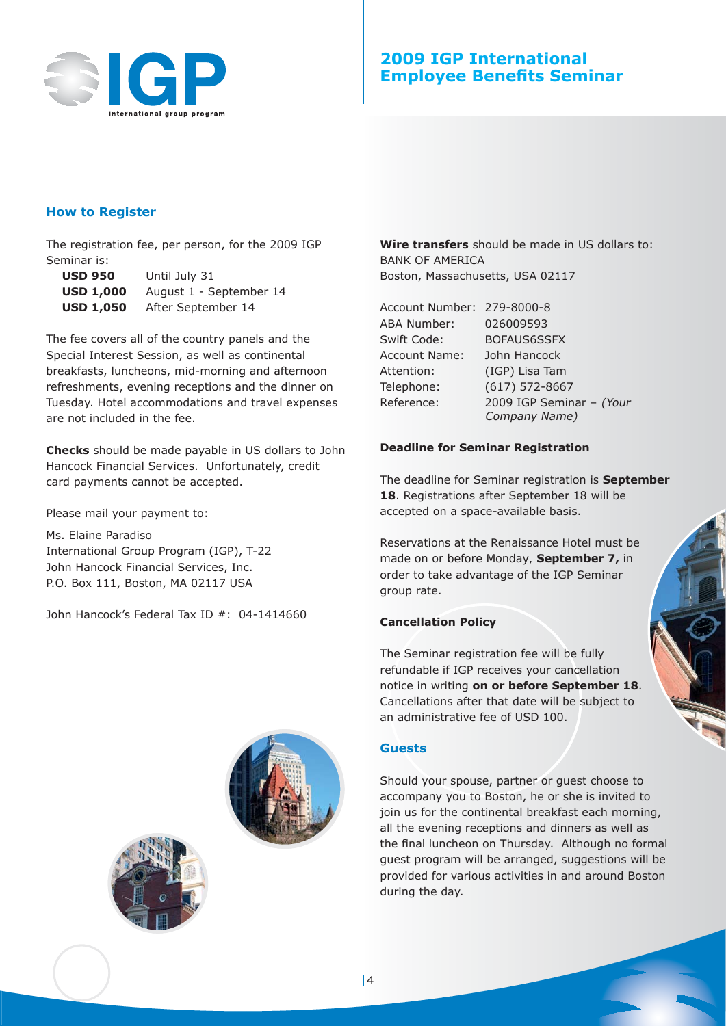

#### **How to Register**

The registration fee, per person, for the 2009 IGP Seminar is:

| <b>USD 950</b>   | Until July 31           |
|------------------|-------------------------|
| <b>USD 1,000</b> | August 1 - September 14 |
| <b>USD 1,050</b> | After September 14      |

The fee covers all of the country panels and the Special Interest Session, as well as continental breakfasts, luncheons, mid-morning and afternoon refreshments, evening receptions and the dinner on Tuesday. Hotel accommodations and travel expenses are not included in the fee.

**Checks** should be made payable in US dollars to John Hancock Financial Services. Unfortunately, credit card payments cannot be accepted.

Please mail your payment to:

Ms. Elaine Paradiso International Group Program (IGP), T-22 John Hancock Financial Services, Inc. P.O. Box 111, Boston, MA 02117 USA

John Hancock's Federal Tax ID #: 04-1414660



Account Number: 279-8000-8 ABA Number: 026009593 Swift Code: BOFAUS6SSFX Account Name: John Hancock Attention: (IGP) Lisa Tam Telephone: (617) 572-8667 Reference: 2009 IGP Seminar – (Your

Company Name)

#### **Deadline for Seminar Registration**

The deadline for Seminar registration is **September 18**. Registrations after September 18 will be accepted on a space-available basis.

Reservations at the Renaissance Hotel must be made *on or before Monday,* **September 7,** in order to take advantage of the IGP Seminar group rate.

#### **Cancellation Policy**

The Seminar registration fee will be fully refundable if IGP receives your cancellation notice in writing **on or before September 18**. Cancellations after that date will be subject to an administrative fee of USD 100.

#### **Guests**

Should your spouse, partner or guest choose to accompany you to Boston, he or she is invited to join us for the continental breakfast each morning, all the evening receptions and dinners as well as the final luncheon on Thursday. Although no formal guest program will be arranged, suggestions will be provided for various activities in and around Boston during the day.



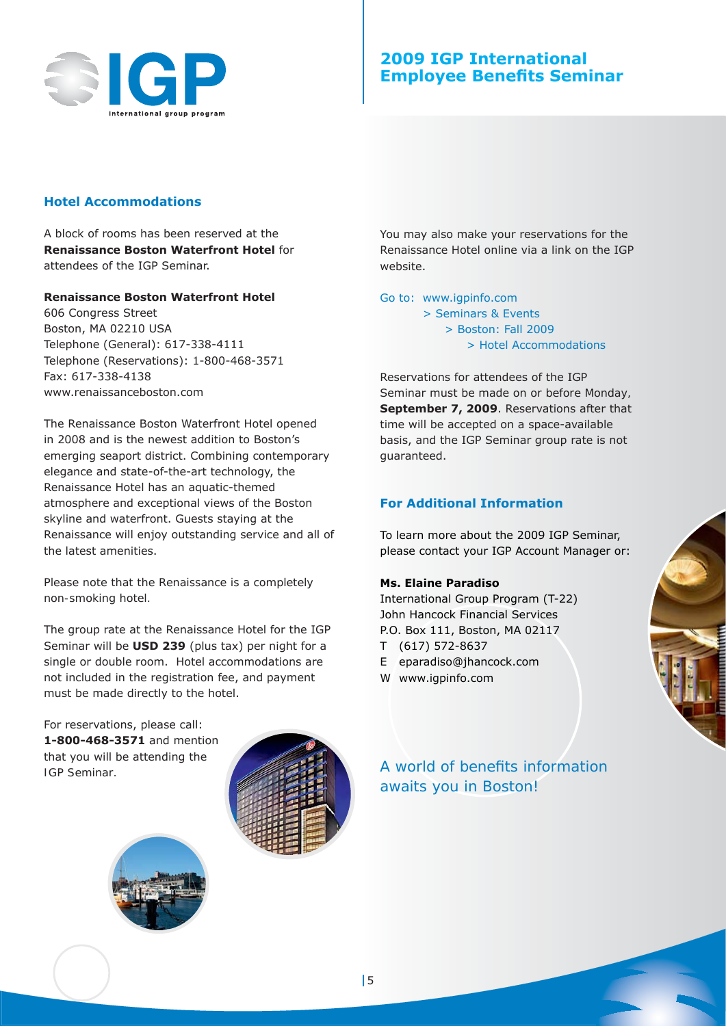

#### **Hotel Accommodations**

A block of rooms has been reserved at the **Renaissance Boston Waterfront Hotel** for attendees of the IGP Seminar.

#### **Renaissance Boston Waterfront Hotel**

606 Congress Street Boston, MA 02210 USA Telephone (General): 617-338-4111 Telephone (Reservations): 1-800-468-3571 Fax: 617-338-4138 www.renaissanceboston.com

The Renaissance Boston Waterfront Hotel opened in 2008 and is the newest addition to Boston's emerging seaport district. Combining contemporary elegance and state-of-the-art technology, the Renaissance Hotel has an aquatic-themed atmosphere and exceptional views of the Boston skyline and waterfront. Guests staying at the Renaissance will enjoy outstanding service and all of the latest amenities.

#### *Please note that the Renaissance is a completely non-smoking hotel.*

The group rate at the Renaissance Hotel for the IGP Seminar will be **USD 239** (plus tax) per night for a single or double room. Hotel accommodations are not included in the registration fee, and payment must be made directly to the hotel.

For reservations, please call: **1-800-468-3571** and mention that you will be attending the *IGP Seminar.*



You may also make your reservations for the Renaissance Hotel online via a link on the IGP website.

Go to: www.igpinfo.com

 > Seminars & Events > Boston: Fall 2009 > Hotel Accommodations

Reservations for attendees of the IGP Seminar must be made *on or before Monday,*  **September 7, 2009**. Reservations after that time will be accepted on a space-available basis, and the IGP Seminar group rate is not guaranteed.

#### **For Additional Information**

To learn more about the 2009 IGP Seminar, please contact your IGP Account Manager or:

#### **Ms. Elaine Paradiso**

International Group Program (T-22) John Hancock Financial Services P.O. Box 111, Boston, MA 02117 T (617) 572-8637 E eparadiso@jhancock.com

W www.igpinfo.com



A world of benefits information *awaits you in Boston!*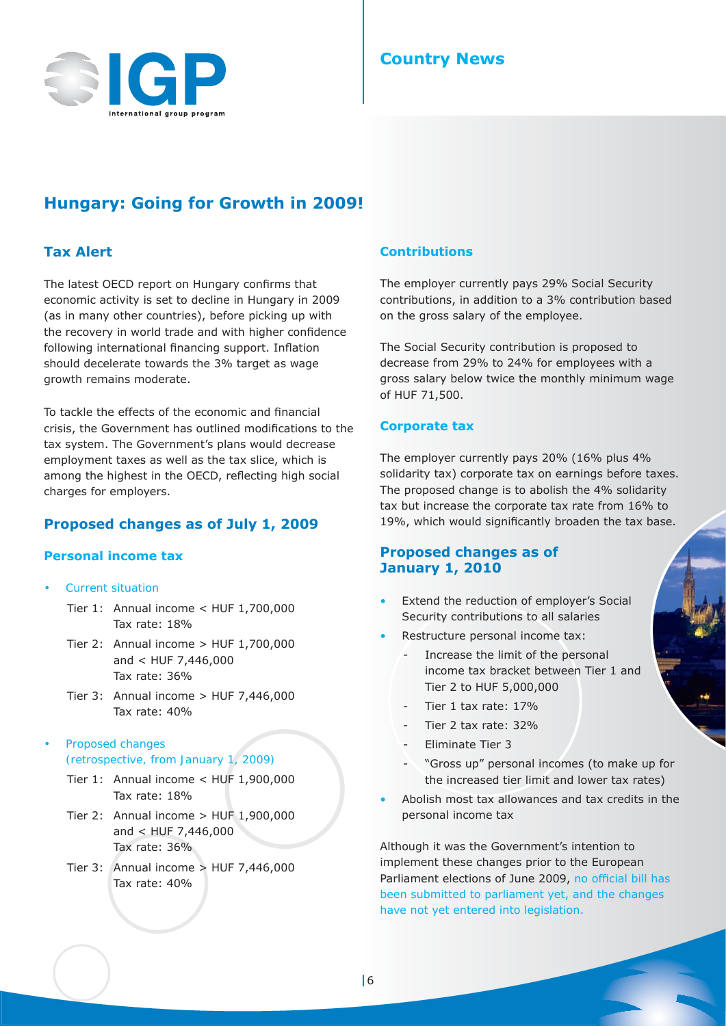

## **Country News**

## **Hungary: Going for Growth in 2009!**

#### **Tax Alert**

The latest OECD report on Hungary confirms that economic activity is set to decline in Hungary in 2009 (as in many other countries), before picking up with the recovery in world trade and with higher confidence following international financing support. Inflation should decelerate towards the 3% target as wage growth remains moderate.

To tackle the effects of the economic and financial crisis, the Government has outlined modifications to the tax system. The Government's plans would decrease employment taxes as well as the tax slice, which is among the highest in the OECD, reflecting high social charges for employers.

#### **Proposed changes as of July 1, 2009**

#### **Personal income tax**

- *Current situation*
	- Tier 1: Annual income < HUF 1,700,000 Tax rate: 18%
	- Tier 2: Annual income > HUF 1,700,000 and < HUF 7,446,000 Tax rate: 36%
	- Tier 3: Annual income > HUF 7,446,000 Tax rate: 40%
- *Proposed changes (retrospective, from January 1, 2009)*
	- Tier 1: Annual income < HUF 1,900,000 Tax rate: 18%
	- Tier 2: Annual income > HUF 1,900,000 and < HUF 7,446,000 Tax rate: 36%
	- Tier 3: Annual income > HUF 7,446,000 Tax rate: 40%

#### **Contributions**

The employer currently pays 29% Social Security contributions, in addition to a 3% contribution based on the gross salary of the employee.

The Social Security contribution is proposed to decrease from 29% to 24% for employees with a gross salary below twice the monthly minimum wage of HUF 71,500.

#### **Corporate tax**

The employer currently pays 20% (16% plus 4% solidarity tax) corporate tax on earnings before taxes. The proposed change is to abolish the 4% solidarity tax but increase the corporate tax rate from 16% to 19%, which would significantly broaden the tax base.

#### **Proposed changes as of January 1, 2010**

- Extend the reduction of employer's Social Security contributions to all salaries
- Restructure personal income tax:
	- Increase the limit of the personal income tax bracket between Tier 1 and Tier 2 to HUF 5,000,000
	- Tier 1 tax rate: 17%
	- Tier 2 tax rate: 32%
	- Eliminate Tier 3
	- "Gross up" personal incomes (to make up for the increased tier limit and lower tax rates)
- Abolish most tax allowances and tax credits in the personal income tax

Although it was the Government's intention to implement these changes prior to the European Parliament elections of June 2009, no official bill has been submitted to parliament yet, and the changes have not yet entered into legislation.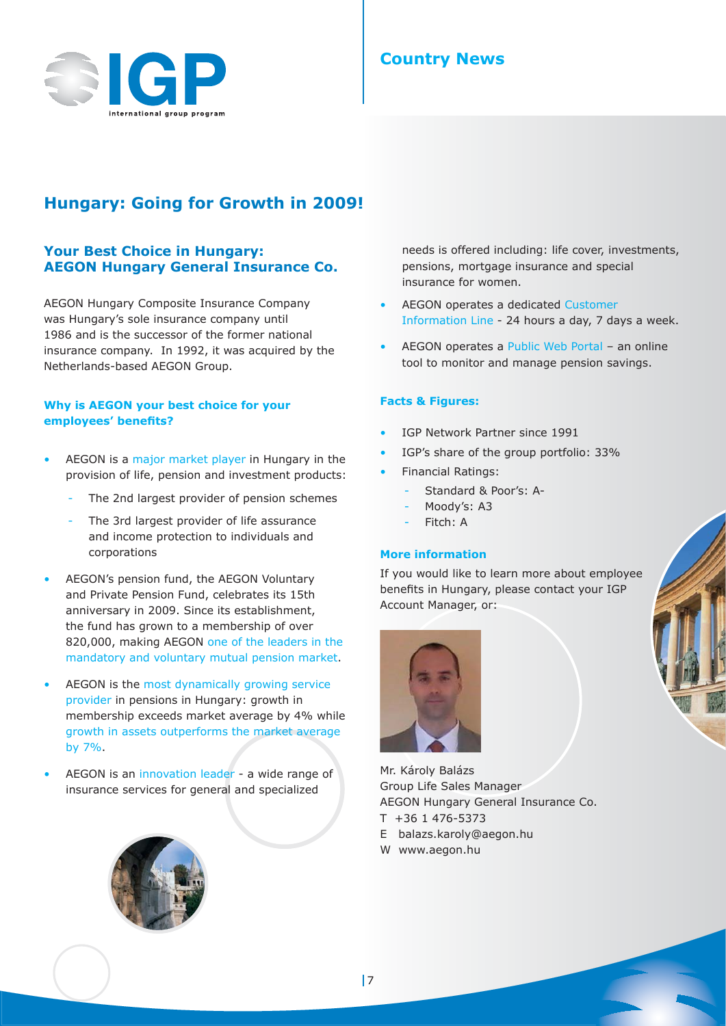

## **Country News**

## **Hungary: Going for Growth in 2009!**

#### **Your Best Choice in Hungary: AEGON Hungary General Insurance Co.**

AEGON Hungary Composite Insurance Company was Hungary's sole insurance company until 1986 and is the successor of the former national insurance company. In 1992, it was acquired by the Netherlands-based AEGON Group.

#### **Why is AEGON your best choice for your employees' benefi ts?**

- AEGON is a major market player in Hungary in the provision of life, pension and investment products:
	- The 2nd largest provider of pension schemes
	- The 3rd largest provider of life assurance and income protection to individuals and corporations
- AEGON's pension fund, the AEGON Voluntary and Private Pension Fund, celebrates its 15th anniversary in 2009. Since its establishment, the fund has grown to a membership of over 820,000, making AEGON one of the leaders in the mandatory and voluntary mutual pension market.
- AEGON is the most dynamically growing service provider in pensions in Hungary: growth in membership exceeds market average by 4% while growth in assets outperforms the market average by 7%.
- AEGON is an innovation leader a wide range of insurance services for general and specialized



needs is offered including: life cover, investments, pensions, mortgage insurance and special insurance for women.

- AEGON operates a dedicated Customer Information Line - 24 hours a day, 7 days a week.
- AEGON operates a Public Web Portal an online tool to monitor and manage pension savings.

#### **Facts & Figures:**

- IGP Network Partner since 1991
- IGP's share of the group portfolio: 33%
- Financial Ratings:
	- Standard & Poor's: A-
	- Moody's: A3
	- Fitch: A

#### **More information**

If you would like to learn more about employee benefits in Hungary, please contact your IGP Account Manager, or:



Mr. Károly Balázs Group Life Sales Manager AEGON Hungary General Insurance Co.

- T +36 1 476-5373
- E balazs.karoly@aegon.hu
- W www.aegon.hu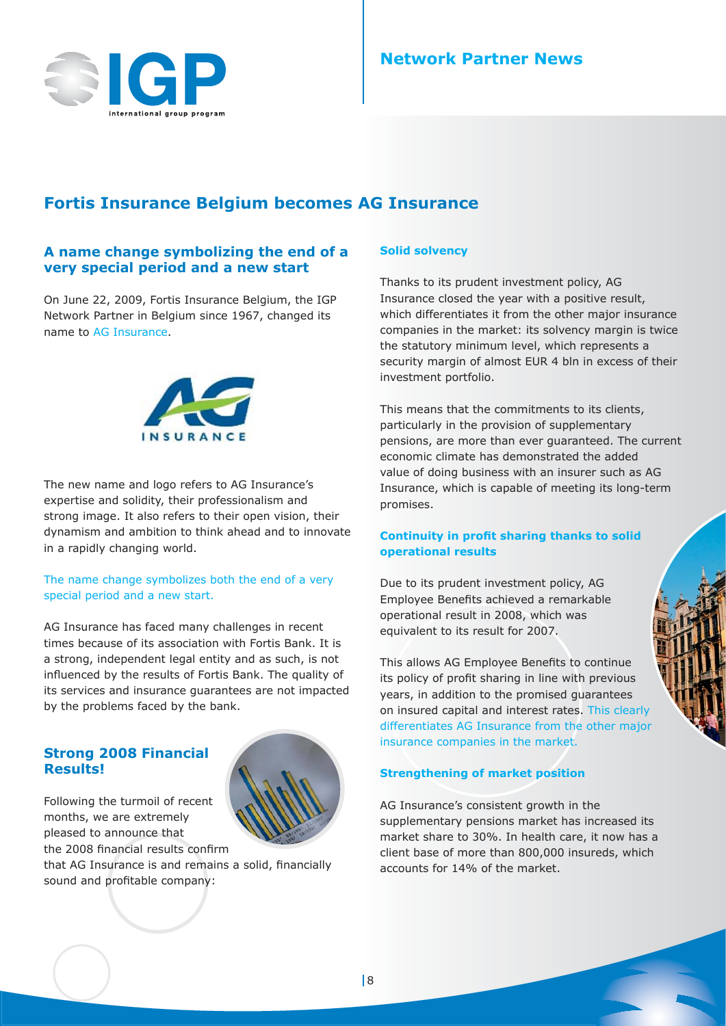

## **Network Partner News**

## **Fortis Insurance Belgium becomes AG Insurance**

#### **A name change symbolizing the end of a very special period and a new start**

On June 22, 2009, Fortis Insurance Belgium, the IGP Network Partner in Belgium since 1967, changed its name to AG Insurance.



The new name and logo refers to AG Insurance's expertise and solidity, their professionalism and strong image. It also refers to their open vision, their dynamism and ambition to think ahead and to innovate in a rapidly changing world.

#### The name change symbolizes both the end of a very special period and a new start.

AG Insurance has faced many challenges in recent times because of its association with Fortis Bank. It is a strong, independent legal entity and as such, is not influenced by the results of Fortis Bank. The quality of its services and insurance guarantees are not impacted by the problems faced by the bank.

#### **Strong 2008 Financial Results!**

Following the turmoil of recent months, we are extremely pleased to announce that the 2008 financial results confirm

that AG Insurance is and remains a solid, financially sound and profitable company:

#### **Solid solvency**

Thanks to its prudent investment policy, AG Insurance closed the year with a positive result, which differentiates it from the other major insurance companies in the market: its solvency margin is twice the statutory minimum level, which represents a security margin of almost EUR 4 bln in excess of their investment portfolio.

This means that the commitments to its clients, particularly in the provision of supplementary pensions, are more than ever guaranteed. The current economic climate has demonstrated the added value of doing business with an insurer such as AG Insurance, which is capable of meeting its long-term promises.

#### **Continuity in profit sharing thanks to solid operational results**

Due to its prudent investment policy, AG Employee Benefits achieved a remarkable operational result in 2008, which was equivalent to its result for 2007.

This allows AG Employee Benefits to continue its policy of profit sharing in line with previous years, in addition to the promised guarantees on insured capital and interest rates. This clearly differentiates AG Insurance from the other major insurance companies in the market.

#### **Strengthening of market position**

AG Insurance's consistent growth in the supplementary pensions market has increased its market share to 30%. In health care, it now has a client base of more than 800,000 insureds, which accounts for 14% of the market.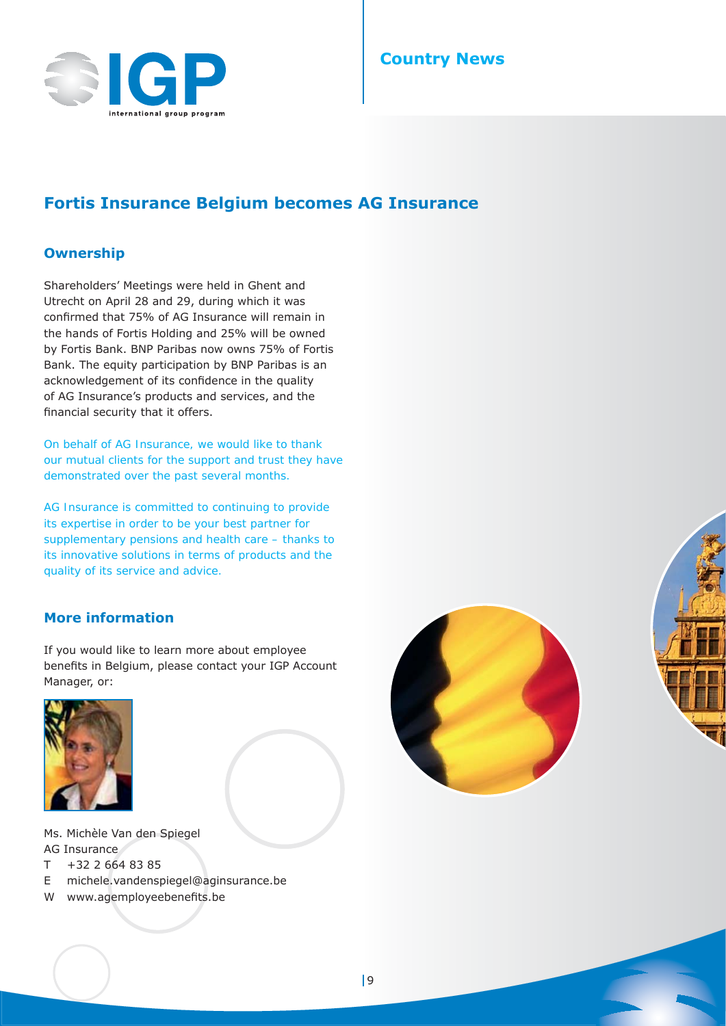

## **Country News**

## **Fortis Insurance Belgium becomes AG Insurance**

#### **Ownership**

Shareholders' Meetings were held in Ghent and Utrecht on April 28 and 29, during which it was confirmed that 75% of AG Insurance will remain in the hands of Fortis Holding and 25% will be owned by Fortis Bank. BNP Paribas now owns 75% of Fortis Bank. The equity participation by BNP Paribas is an acknowledgement of its confidence in the quality of AG Insurance's products and services, and the financial security that it offers.

*On behalf of AG Insurance, we would like to thank our mutual clients for the support and trust they have demonstrated over the past several months.* 

*AG Insurance is committed to continuing to provide its expertise in order to be your best partner for supplementary pensions and health care – thanks to its innovative solutions in terms of products and the quality of its service and advice.*

#### **More information**

If you would like to learn more about employee benefits in Belgium, please contact your IGP Account Manager, or:





Ms. Michèle Van den Spiegel AG Insurance T +32 2 664 83 85

- E michele.vandenspiegel@aginsurance.be
- W www.agemployeebenefits.be



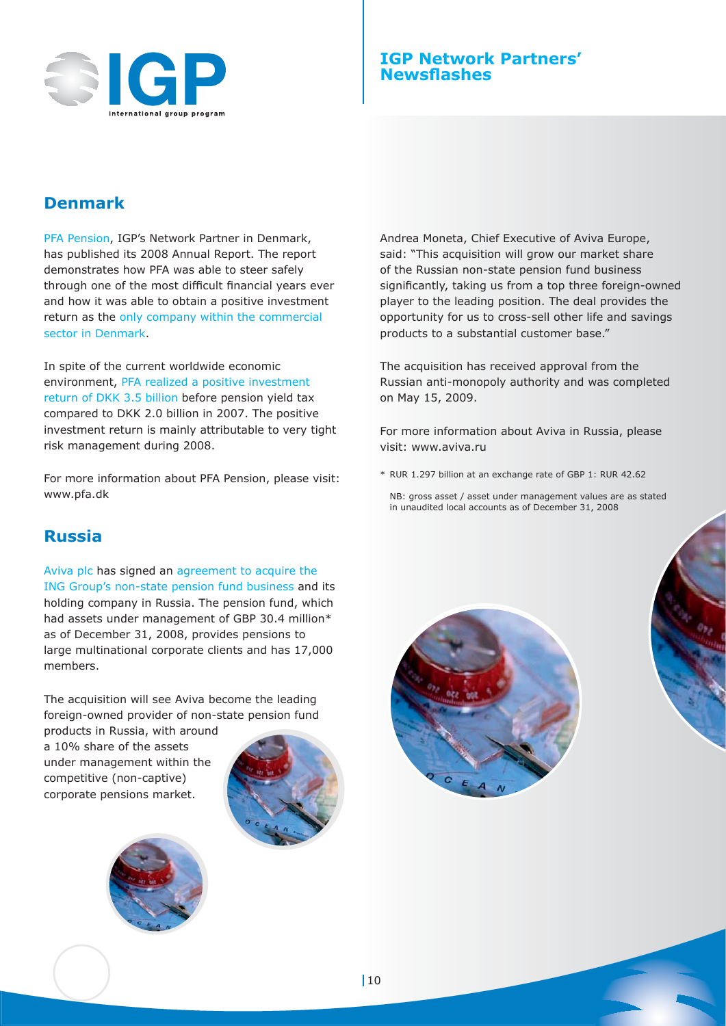

## **Denmark**

PFA Pension, IGP's Network Partner in Denmark, has published its 2008 Annual Report. The report demonstrates how PFA was able to steer safely through one of the most difficult financial years ever and how it was able to obtain a positive investment return as the only company within the commercial sector in Denmark.

In spite of the current worldwide economic environment, PFA realized a positive investment return of DKK 3.5 billion before pension yield tax compared to DKK 2.0 billion in 2007. The positive investment return is mainly attributable to very tight risk management during 2008.

For more information about PFA Pension, please visit: www.pfa.dk

## **Russia**

Aviva plc has signed an agreement to acquire the ING Group's non-state pension fund business and its holding company in Russia. The pension fund, which had assets under management of GBP 30.4 million\* as of December 31, 2008, provides pensions to large multinational corporate clients and has 17,000 members.

The acquisition will see Aviva become the leading foreign-owned provider of non-state pension fund

products in Russia, with around a 10% share of the assets under management within the competitive (non-captive) corporate pensions market.





Andrea Moneta, Chief Executive of Aviva Europe, said: "This acquisition will grow our market share of the Russian non-state pension fund business significantly, taking us from a top three foreign-owned player to the leading position. The deal provides the opportunity for us to cross-sell other life and savings products to a substantial customer base."

The acquisition has received approval from the Russian anti-monopoly authority and was completed on May 15, 2009.

For more information about Aviva in Russia, please visit: www.aviva.ru

- \* RUR 1.297 billion at an exchange rate of GBP 1: RUR 42.62
	- NB: gross asset / asset under management values are as stated in unaudited local accounts as of December 31, 2008

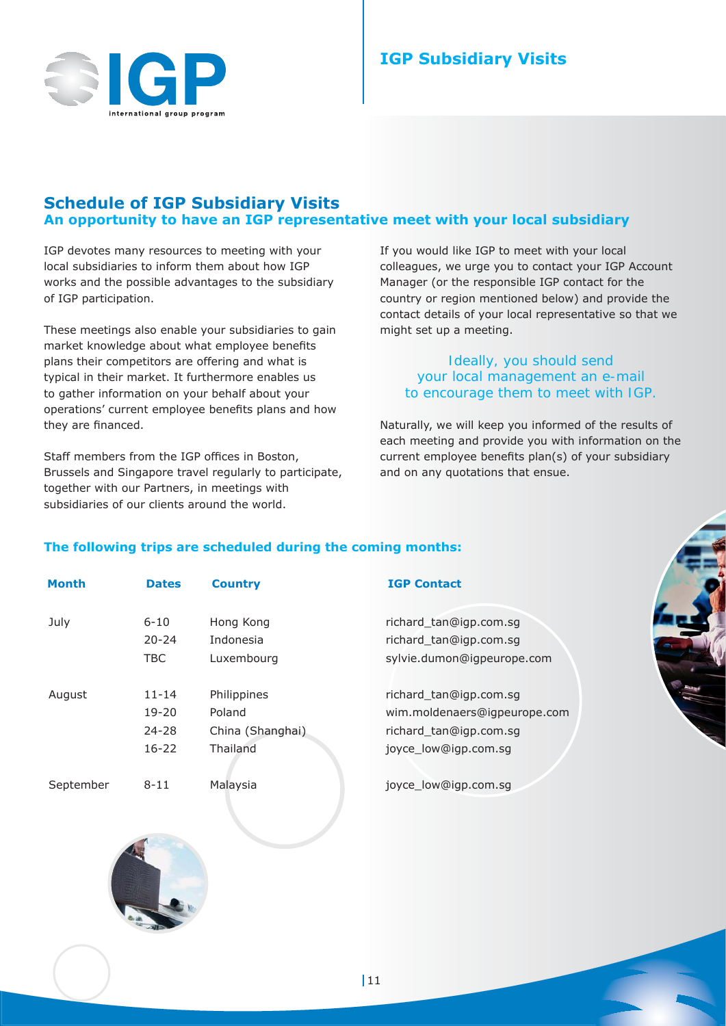## **Schedule of IGP Subsidiary Visits An opportunity to have an IGP representative meet with your local subsidiary**

IGP devotes many resources to meeting with your local subsidiaries to inform them about how IGP works and the possible advantages to the subsidiary of IGP participation.

These meetings also enable your subsidiaries to gain market knowledge about what employee benefits plans their competitors are offering and what is typical in their market. It furthermore enables us to gather information on your behalf about your operations' current employee benefits plans and how they are financed.

Staff members from the IGP offices in Boston, Brussels and Singapore travel regularly to participate, together with our Partners, in meetings with subsidiaries of our clients around the world.

If you would like IGP to meet with your local colleagues, we urge you to contact your IGP Account Manager (or the responsible IGP contact for the country or region mentioned below) and provide the contact details of your local representative so that we might set up a meeting.

#### *Ideally, you should send your local management an e-mail to encourage them to meet with IGP.*

Naturally, we will keep you informed of the results of each meeting and provide you with information on the current employee benefits plan(s) of your subsidiary and on any quotations that ensue.

#### **The following trips are scheduled during the coming months:**

| <b>Month</b> | <b>Dates</b> | <b>Country</b>   | <b>IGP Contact</b>           |
|--------------|--------------|------------------|------------------------------|
| July         | $6 - 10$     | Hong Kong        | richard_tan@igp.com.sg       |
|              | $20 - 24$    | Indonesia        | richard_tan@igp.com.sg       |
|              | <b>TBC</b>   | Luxembourg       | sylvie.dumon@igpeurope.com   |
| August       | $11 - 14$    | Philippines      | richard_tan@igp.com.sg       |
|              | $19 - 20$    | Poland           | wim.moldenaers@igpeurope.com |
|              | $24 - 28$    | China (Shanghai) | richard tan@igp.com.sq       |
|              | $16 - 22$    | Thailand         | joyce_low@igp.com.sg         |
| September    | $8 - 11$     | Malaysia         | joyce_low@igp.com.sg         |

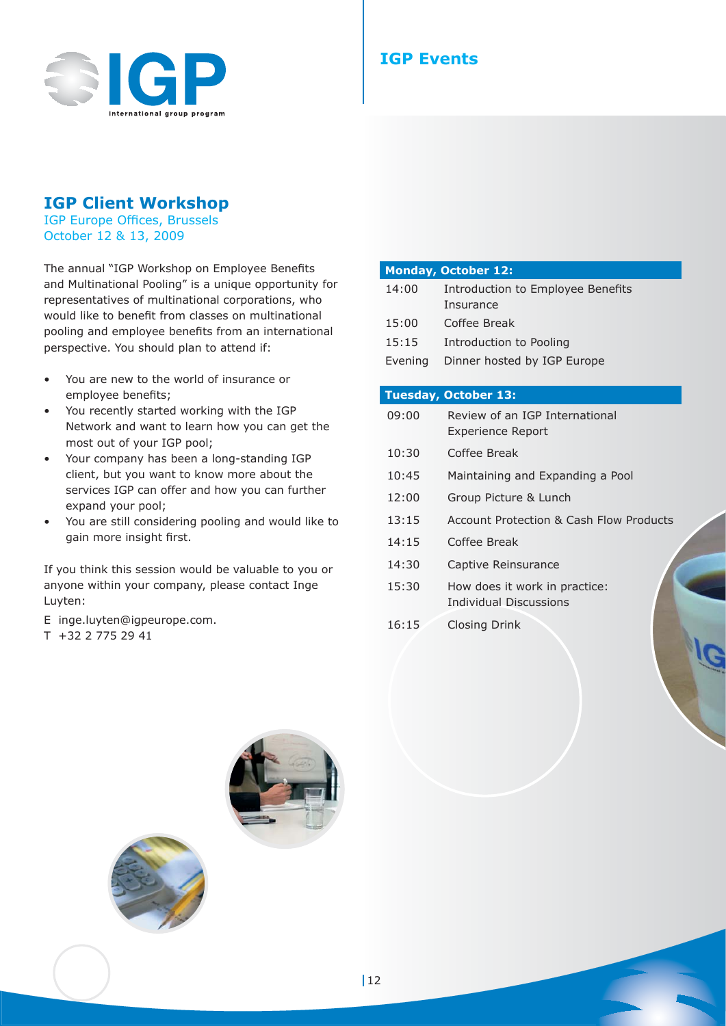

## **IGP Client Workshop**

IGP Europe Offices, Brussels October 12 & 13, 2009

The annual "IGP Workshop on Employee Benefits and Multinational Pooling" is a unique opportunity for representatives of multinational corporations, who would like to benefit from classes on multinational pooling and employee benefits from an international perspective. You should plan to attend if:

- You are new to the world of insurance or employee benefits;
- You recently started working with the IGP Network and want to learn how you can get the most out of your IGP pool;
- Your company has been a long-standing IGP client, but you want to know more about the services IGP can offer and how you can further expand your pool;
- You are still considering pooling and would like to gain more insight first.

If you think this session would be valuable to you or anyone within your company, please contact Inge Luyten:

- E inge.luyten@igpeurope.com.
- T +32 2 775 29 41

|         | <b>Monday, October 12:</b>              |
|---------|-----------------------------------------|
| 14:00   | Introduction to Employee Benefits       |
|         | Insurance                               |
| 15:00   | Coffee Break                            |
| 15:15   | Introduction to Pooling                 |
| Evening | Dinner hosted by IGP Europe             |
|         |                                         |
|         | <b>Tuesday, October 13:</b>             |
| 09:00   | Review of an IGP International          |
|         | Experience Report                       |
| 10:30   | Coffee Break                            |
| 10:45   | Maintaining and Expanding a Pool        |
| 12:00   | Group Picture & Lunch                   |
| 13:15   | Account Protection & Cash Flow Products |
| 14:15   | Coffee Break                            |

- 14:30 Captive Reinsurance
- 15:30 How does it work in practice:
	- Individual Discussions
- 16:15 Closing Drink



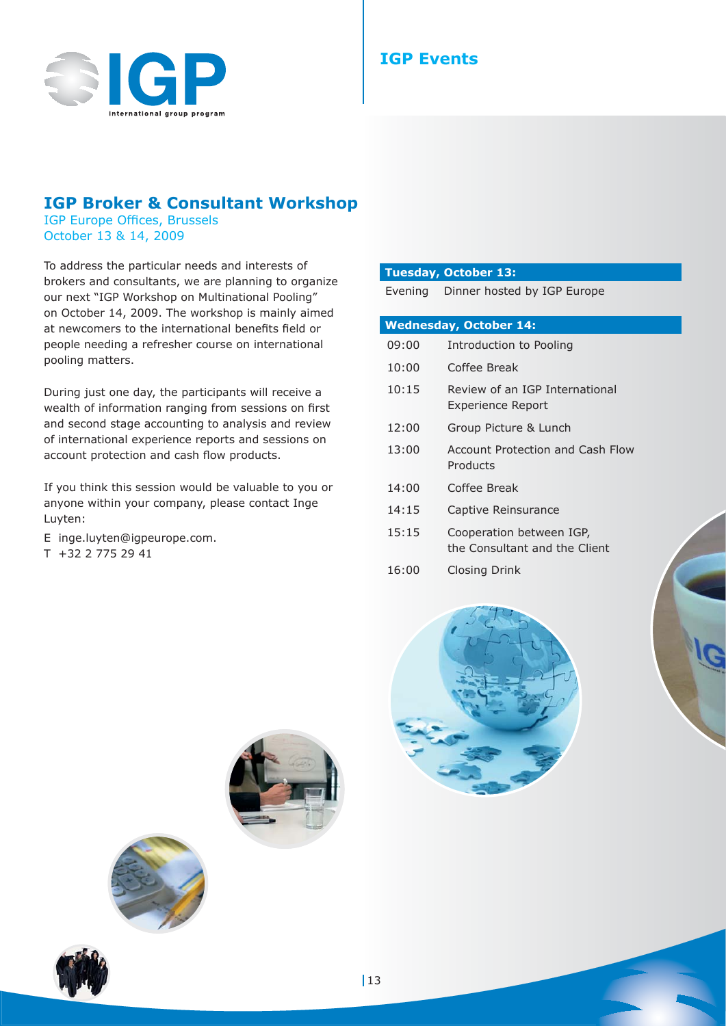

## **IGP Broker & Consultant Workshop**

IGP Europe Offices, Brussels October 13 & 14, 2009

To address the particular needs and interests of brokers and consultants, we are planning to organize our next "IGP Workshop on Multinational Pooling" on October 14, 2009. The workshop is mainly aimed at newcomers to the international benefits field or people needing a refresher course on international pooling matters.

During just one day, the participants will receive a wealth of information ranging from sessions on first and second stage accounting to analysis and review of international experience reports and sessions on account protection and cash flow products.

If you think this session would be valuable to you or anyone within your company, please contact Inge Luyten:

- E inge.luyten@igpeurope.com.
- T +32 2 775 29 41

#### **Tuesday, October 13:**

Evening Dinner hosted by IGP Europe

|       | <b>Wednesday, October 14:</b>                             |  |
|-------|-----------------------------------------------------------|--|
| 09:00 | Introduction to Pooling                                   |  |
| 10:00 | Coffee Break                                              |  |
| 10:15 | Review of an IGP International<br>Experience Report       |  |
| 12:00 | Group Picture & Lunch                                     |  |
| 13:00 | Account Protection and Cash Flow<br>Products              |  |
| 14:00 | Coffee Break                                              |  |
| 14:15 | Captive Reinsurance                                       |  |
| 15:15 | Cooperation between IGP,<br>the Consultant and the Client |  |
| 16:00 | Closing Drink                                             |  |







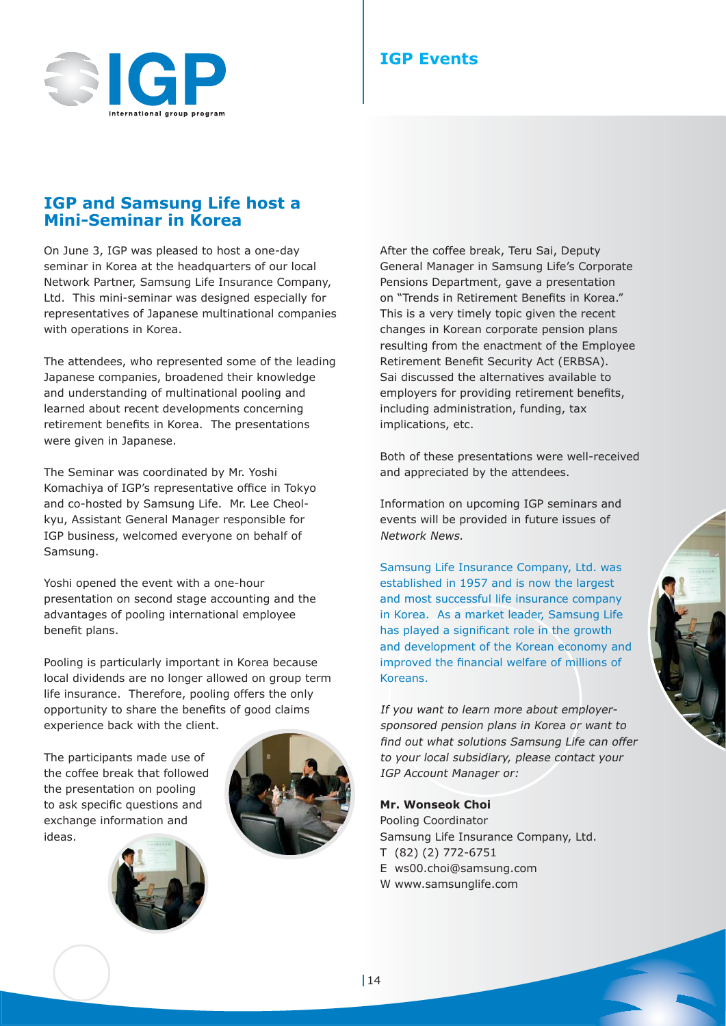

## **IGP Events**

## **IGP and Samsung Life host a Mini-Seminar in Korea**

On June 3, IGP was pleased to host a one-day seminar in Korea at the headquarters of our local Network Partner, Samsung Life Insurance Company, Ltd. This mini-seminar was designed especially for representatives of Japanese multinational companies with operations in Korea.

The attendees, who represented some of the leading Japanese companies, broadened their knowledge and understanding of multinational pooling and learned about recent developments concerning retirement benefits in Korea. The presentations were given in Japanese.

The Seminar was coordinated by Mr. Yoshi Komachiya of IGP's representative office in Tokyo and co-hosted by Samsung Life. Mr. Lee Cheolkyu, Assistant General Manager responsible for IGP business, welcomed everyone on behalf of Samsung.

Yoshi opened the event with a one-hour presentation on second stage accounting and the advantages of pooling international employee benefit plans.

Pooling is particularly important in Korea because local dividends are no longer allowed on group term life insurance. Therefore, pooling offers the only opportunity to share the benefits of good claims experience back with the client.

The participants made use of the coffee break that followed the presentation on pooling to ask specific questions and exchange information and ideas.







Both of these presentations were well-received and appreciated by the attendees.

Information on upcoming IGP seminars and events will be provided in future issues of Network News.

Samsung Life Insurance Company, Ltd. was established in 1957 and is now the largest and most successful life insurance company in Korea. As a market leader, Samsung Life has played a significant role in the growth and development of the Korean economy and improved the financial welfare of millions of Koreans.

If you want to learn more about employersponsored pension plans in Korea or want to find out what solutions Samsung Life can offer to your local subsidiary, please contact your IGP Account Manager or:

#### **Mr. Wonseok Choi**

Pooling Coordinator Samsung Life Insurance Company, Ltd. T (82) (2) 772-6751 E ws00.choi@samsung.com W www.samsunglife.com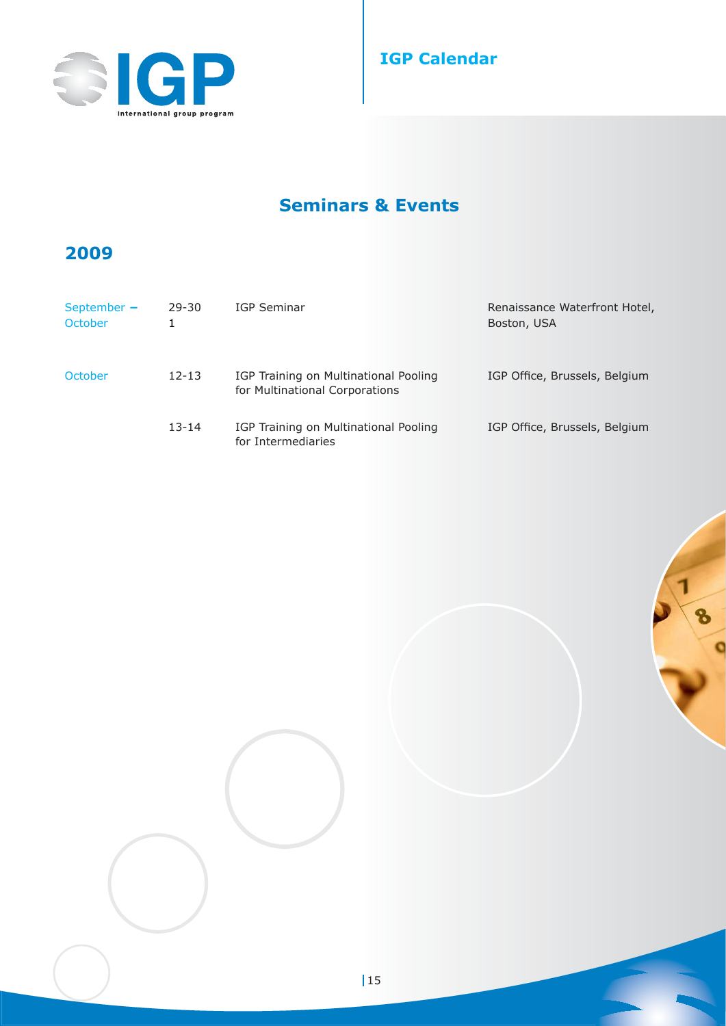



# **Seminars & Events**

## **2009**

| September $-$<br><b>October</b> | $29 - 30$ | IGP Seminar                                                             | Renaissance Waterfront Hotel,<br>Boston, USA |
|---------------------------------|-----------|-------------------------------------------------------------------------|----------------------------------------------|
| October                         | $12 - 13$ | IGP Training on Multinational Pooling<br>for Multinational Corporations | IGP Office, Brussels, Belgium                |
|                                 | $13 - 14$ | IGP Training on Multinational Pooling<br>for Intermediaries             | IGP Office, Brussels, Belgium                |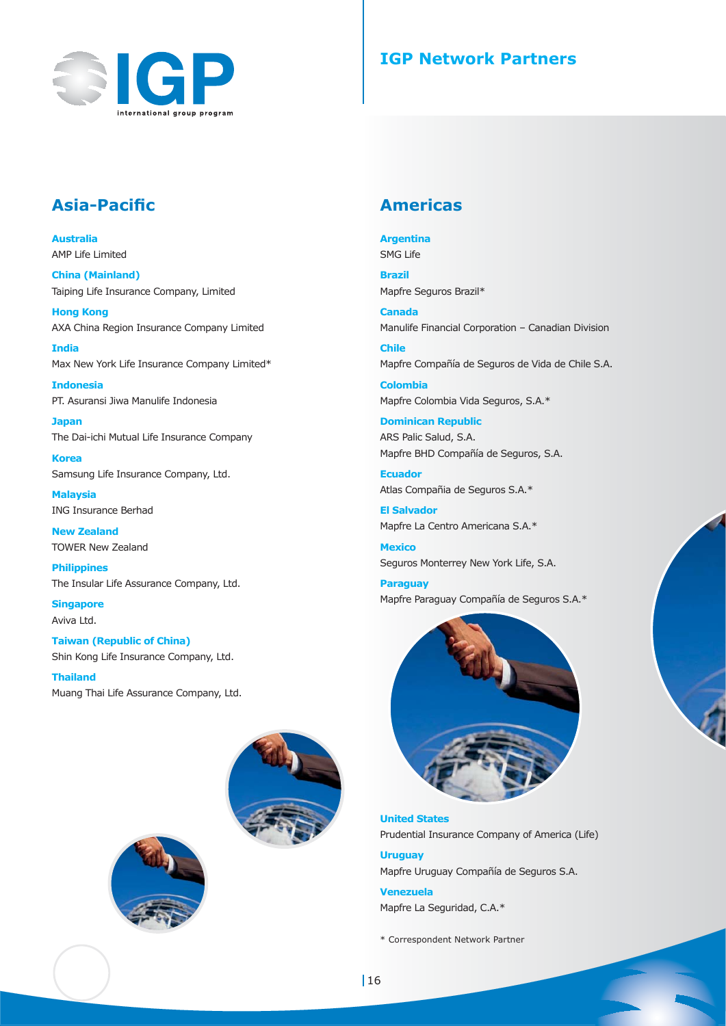

## **IGP Network Partners**

## **Asia-Pacifi c**

**Australia** AMP Life Limited

**China (Mainland)** Taiping Life Insurance Company, Limited

**Hong Kong** AXA China Region Insurance Company Limited

**India** Max New York Life Insurance Company Limited\*

**Indonesia** PT. Asuransi Jiwa Manulife Indonesia

**Japan** The Dai-ichi Mutual Life Insurance Company

**Korea** Samsung Life Insurance Company, Ltd.

**Malaysia** ING Insurance Berhad

**New Zealand** TOWER New Zealand

**Philippines** The Insular Life Assurance Company, Ltd.

**Singapore** Aviva Ltd.

**Taiwan (Republic of China)** Shin Kong Life Insurance Company, Ltd.

**Thailand** Muang Thai Life Assurance Company, Ltd.





## **Americas**

**Argentina**

SMG Life

**Brazil** Mapfre Seguros Brazil\*

**Canada** Manulife Financial Corporation – Canadian Division

**Chile** Mapfre Compañía de Seguros de Vida de Chile S.A.

**Colombia** Mapfre Colombia Vida Seguros, S.A.\*

**Dominican Republic** ARS Palic Salud, S.A. Mapfre BHD Compañía de Seguros, S.A.

**Ecuador** Atlas Compañia de Seguros S.A.\*

**El Salvador** Mapfre La Centro Americana S.A.\*

**Mexico** Seguros Monterrey New York Life, S.A.

**Paraguay** Mapfre Paraguay Compañía de Seguros S.A.\*



**United States** Prudential Insurance Company of America (Life)

**Uruguay** Mapfre Uruguay Compañía de Seguros S.A.

**Venezuela** Mapfre La Seguridad, C.A.\*

\* Correspondent Network Partner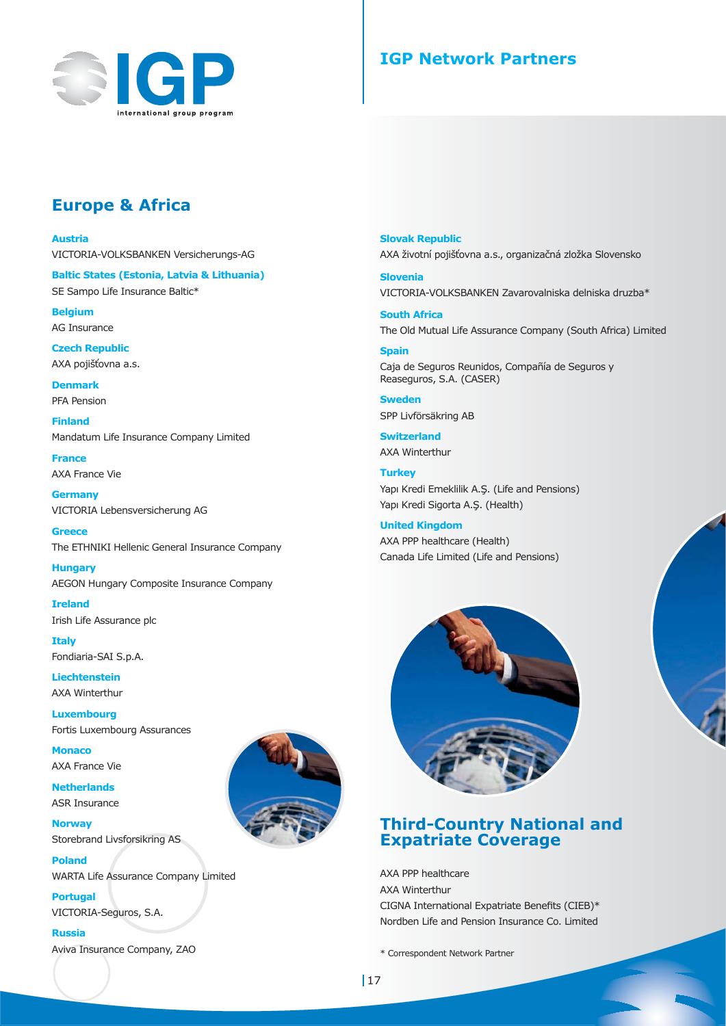

## **IGP Network Partners**

## **Europe & Africa**

**Austria**

VICTORIA-VOLKSBANKEN Versicherungs-AG

**Baltic States (Estonia, Latvia & Lithuania)** SE Sampo Life Insurance Baltic\*

**Belgium** AG Insurance

**Czech Republic** AXA pojišťovna a.s.

**Denmark** PFA Pension

**Finland** Mandatum Life Insurance Company Limited

**France** AXA France Vie

**Germany** VICTORIA Lebensversicherung AG

**Greece** The ETHNIKI Hellenic General Insurance Company

**Hungary** AEGON Hungary Composite Insurance Company

**Ireland** Irish Life Assurance plc

**Italy** Fondiaria-SAI S.p.A.

**Liechtenstein** AXA Winterthur

**Luxembourg** Fortis Luxembourg Assurances

**Monaco** AXA France Vie

**Netherlands** ASR Insurance

**Norway** Storebrand Livsforsikring AS

**Poland** WARTA Life Assurance Company Limited

**Portugal** VICTORIA-Seguros, S.A.

**Russia**

Aviva Insurance Company, ZAO



**Slovak Republic** AXA životní pojišťovna a.s., organizačná zložka Slovensko

**Slovenia** VICTORIA-VOLKSBANKEN Zavarovalniska delniska druzba\*

**South Africa** The Old Mutual Life Assurance Company (South Africa) Limited

#### **Spain**

Caja de Seguros Reunidos, Compañía de Seguros y Reaseguros, S.A. (CASER)

**Sweden** SPP Livförsäkring AB

**Switzerland** AXA Winterthur

**Turkey** Yapı Kredi Emeklilik A.Ş. (Life and Pensions) Yapı Kredi Sigorta A.Ş. (Health)

**United Kingdom** AXA PPP healthcare (Health) Canada Life Limited (Life and Pensions)



## **Third-Country National and Expatriate Coverage**

AXA PPP healthcare AXA Winterthur CIGNA International Expatriate Benefits (CIEB)\* Nordben Life and Pension Insurance Co. Limited

\* Correspondent Network Partner